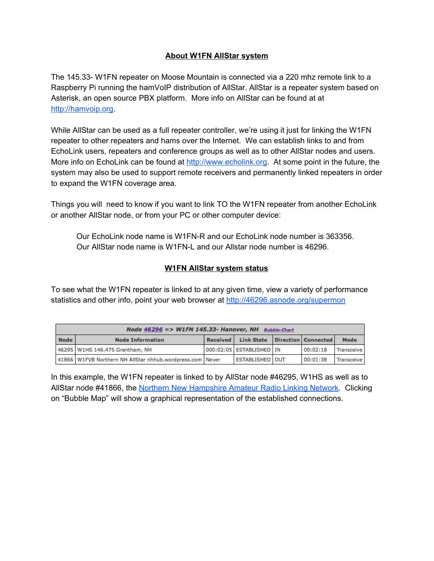## **About W1FN AllStar system**

The 145.33- W1FN repeater on Moose Mountain is connected via a 220 mhz remote link to a Raspberry Pi running the hamVoIP distribution of AllStar. AllStar is a repeater system based on Asterisk, an open source PBX platform. More info on AllStar can be found at at [http://hamvoip.org.](https://hamvoip.org/)

While AllStar can be used as a full repeater controller, we're using it just for linking the W1FN repeater to other repeaters and hams over the Internet. We can establish links to and from EchoLink users, repeaters and conference groups as well as to other AllStar nodes and users. More info on EchoLink can be found at [http://www.echolink.org.](http://www.echolink.org/) At some point in the future, the system may also be used to support remote receivers and permanently linked repeaters in order to expand the W1FN coverage area.

Things you will need to know if you want to link TO the W1FN repeater from another EchoLink or another AllStar node, or from your PC or other computer device:

Our EchoLink node name is W1FN-R and our EchoLink node number is 363356. Our AllStar node name is W1FN-L and our Allstar node number is 46296.

## **W1FN AllStar system status**

To see what the W1FN repeater is linked to at any given time, view a variety of performance statistics and other info, point your web browser at <http://46296.asnode.org/supermon>

| Node 46296 => W1FN 145.33- Hanover, NH Bubble-Chart |                                                           |          |                                    |  |          |            |  |
|-----------------------------------------------------|-----------------------------------------------------------|----------|------------------------------------|--|----------|------------|--|
| Node                                                | <b>Node Information</b>                                   | Received | Link State   Direction   Connected |  |          | Mode       |  |
|                                                     | 46295 W1HS 146.475 Grantham, NH                           |          | 000:02:05 ESTABLISHED IN           |  | 00:02:18 | Transceive |  |
|                                                     | 41866 W1FVB Northern NH AllStar nhhub.wordpress.com Never |          | <b>ESTABLISHED OUT</b>             |  | 00:01:38 | Transceive |  |

In this example, the W1FN repeater is linked to by AllStar node #46295, W1HS as well as to AllStar node #41866, the Northern New [Hampshire](https://nhhub.wordpress.com/) Amateur Radio Linking Network. Clicking on "Bubble Map" will show a graphical representation of the established connections.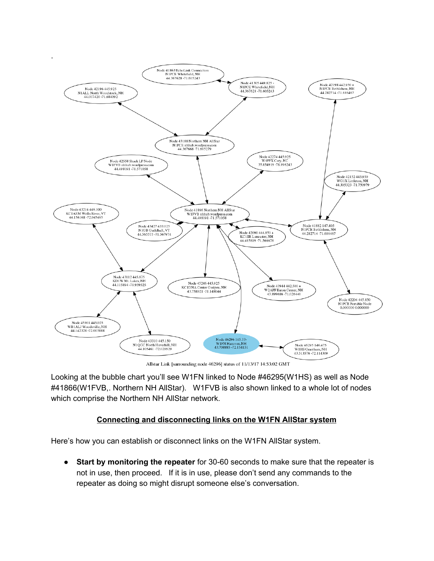

Allstar Link [surrounding node 46296] status of 11/13/17 14:53:02 GMT

Looking at the bubble chart you'll see W1FN linked to Node #46295(W1HS) as well as Node #41866(W1FVB,. Northern NH AllStar). W1FVB is also shown linked to a whole lot of nodes which comprise the Northern NH AllStar network.

## **Connecting and disconnecting links on the W1FN AllStar system**

Here's how you can establish or disconnect links on the W1FN AllStar system.

● **Start by monitoring the repeater** for 30-60 seconds to make sure that the repeater is not in use, then proceed. If it is in use, please don't send any commands to the repeater as doing so might disrupt someone else's conversation.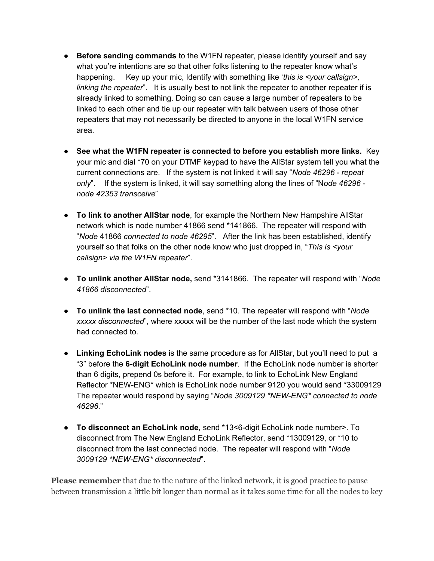- **Before sending commands** to the W1FN repeater, please identify yourself and say what you're intentions are so that other folks listening to the repeater know what's happening. Key up your mic, Identify with something like '*this is <your callsign>, linking the repeater*". It is usually best to not link the repeater to another repeater if is already linked to something. Doing so can cause a large number of repeaters to be linked to each other and tie up our repeater with talk between users of those other repeaters that may not necessarily be directed to anyone in the local W1FN service area.
- **See what the W1FN repeater is connected to before you establish more links.** Key your mic and dial \*70 on your DTMF keypad to have the AllStar system tell you what the current connections are. If the system is not linked it will say "*Node 46296 - repeat only*". If the system is linked, it will say something along the lines of "N*ode 46296 node 42353 transceive*"
- **To link to another AllStar node**, for example the Northern New Hampshire AllStar network which is node number 41866 send \*141866. The repeater will respond with "*Node* 41866 *connected to node 46295*". After the link has been established, identify yourself so that folks on the other node know who just dropped in, "*This is <your callsign> via the W1FN repeater*".
- **To unlink another AllStar node,** send \*3141866. The repeater will respond with "*Node 41866 disconnected*".
- **To unlink the last connected node**, send \*10. The repeater will respond with "*Node xxxxx disconnected*", where xxxxx will be the number of the last node which the system had connected to.
- **Linking EchoLink nodes** is the same procedure as for AllStar, but you'll need to put a "3" before the **6-digit EchoLink node number**. If the EchoLink node number is shorter than 6 digits, prepend 0s before it. For example, to link to EchoLink New England Reflector \*NEW-ENG\* which is EchoLink node number 9120 you would send \*33009129 The repeater would respond by saying "*Node 3009129 \*NEW-ENG\* connected to node 46296*."
- **To disconnect an EchoLink node**, send \*13<6-digit EchoLink node number>. To disconnect from The New England EchoLink Reflector, send \*13009129, or \*10 to disconnect from the last connected node. The repeater will respond with "*Node 3009129 \*NEW-ENG\* disconnected*".

**Please remember** that due to the nature of the linked network, it is good practice to pause between transmission a little bit longer than normal as it takes some time for all the nodes to key